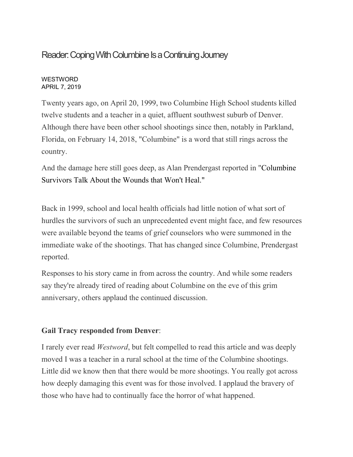# Reader: Coping With Columbine Is a Continuing Journey

#### **WESTWORD** APRIL 7, 2019

Twenty years ago, on April 20, 1999, two Columbine High School students killed twelve students and a teacher in a quiet, affluent southwest suburb of Denver. Although there have been other school shootings since then, notably in Parkland, Florida, on February 14, 2018, "Columbine" is a word that still rings across the country.

And the damage here still goes deep, as Alan Prendergast reported in ["Columbine](https://www.westword.com/news/columbine-survivors-a-case-study-in-trauma-from-mass-shootings-twenty-years-later-11270722) [Survivors](https://www.westword.com/news/columbine-survivors-a-case-study-in-trauma-from-mass-shootings-twenty-years-later-11270722) Talk About the Wounds that Won't Heal."

Back in 1999, school and local health officials had little notion of what sort of hurdles the survivors of such an unprecedented event might face, and few resources were available beyond the teams of grief counselors who were summoned in the immediate wake of the shootings. That has changed since Columbine, Prendergast reported.

Responses to his story came in from across the country. And while some readers say they're already tired of reading about Columbine on the eve of this grim anniversary, others applaud the continued discussion.

## **Gail Tracy responded from Denver**:

I rarely ever read *Westword*, but felt compelled to read this article and was deeply moved I was a teacher in a rural school at the time of the Columbine shootings. Little did we know then that there would be more shootings. You really got across how deeply damaging this event was for those involved. I applaud the bravery of those who have had to continually face the horror of what happened.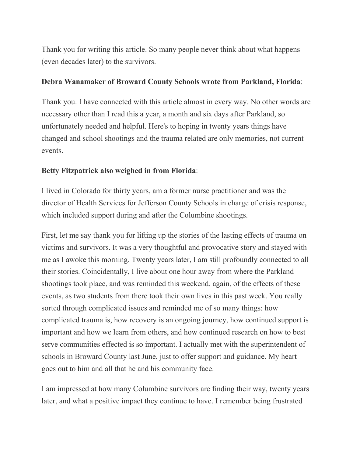Thank you for writing this article. So many people never think about what happens (even decades later) to the survivors.

#### **Debra Wanamaker of Broward County Schools wrote from Parkland, Florida**:

Thank you. I have connected with this article almost in every way. No other words are necessary other than I read this a year, a month and six days after Parkland, so unfortunately needed and helpful. Here's to hoping in twenty years things have changed and school shootings and the trauma related are only memories, not current events.

### **Betty Fitzpatrick also weighed in from Florida**:

I lived in Colorado for thirty years, am a former nurse practitioner and was the director of Health Services for Jefferson County Schools in charge of crisis response, which included support during and after the Columbine shootings.

First, let me say thank you for lifting up the stories of the lasting effects of trauma on victims and survivors. It was a very thoughtful and provocative story and stayed with me as I awoke this morning. Twenty years later, I am still profoundly connected to all their stories. Coincidentally, I live about one hour away from where the Parkland shootings took place, and was reminded this weekend, again, of the effects of these events, as two students from there took their own lives in this past week. You really sorted through complicated issues and reminded me of so many things: how complicated trauma is, how recovery is an ongoing journey, how continued support is important and how we learn from others, and how continued research on how to best serve communities effected is so important. I actually met with the superintendent of schools in Broward County last June, just to offer support and guidance. My heart goes out to him and all that he and his community face.

I am impressed at how many Columbine survivors are finding their way, twenty years later, and what a positive impact they continue to have. I remember being frustrated